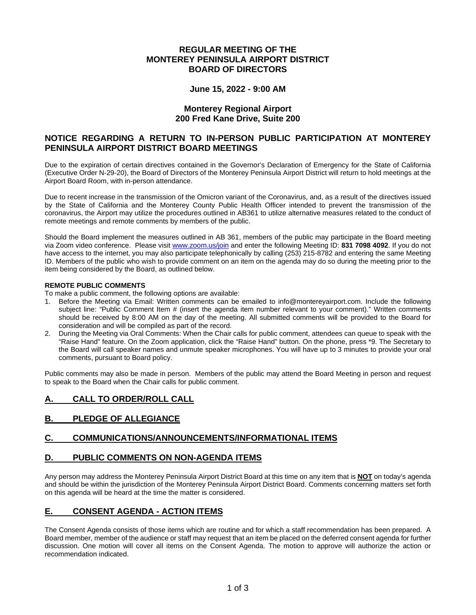#### **REGULAR MEETING OF THE MONTEREY PENINSULA AIRPORT DISTRICT BOARD OF DIRECTORS**

#### **June 15, 2022 - 9:00 AM**

#### **Monterey Regional Airport 200 Fred Kane Drive, Suite 200**

## **NOTICE REGARDING A RETURN TO IN-PERSON PUBLIC PARTICIPATION AT MONTEREY PENINSULA AIRPORT DISTRICT BOARD MEETINGS**

Due to the expiration of certain directives contained in the Governor's Declaration of Emergency for the State of California (Executive Order N-29-20), the Board of Directors of the Monterey Peninsula Airport District will return to hold meetings at the Airport Board Room, with in-person attendance.

Due to recent increase in the transmission of the Omicron variant of the Coronavirus, and, as a result of the directives issued by the State of California and the Monterey County Public Health Officer intended to prevent the transmission of the coronavirus, the Airport may utilize the procedures outlined in AB361 to utilize alternative measures related to the conduct of remote meetings and remote comments by members of the public.

Should the Board implement the measures outlined in AB 361, members of the public may participate in the Board meeting via Zoom video conference. Please visit [www.zoom.us/join](http://www.zoom.us/join) and enter the following Meeting ID: **831 7098 4092**. If you do not have access to the internet, you may also participate telephonically by calling (253) 215-8782 and entering the same Meeting ID. Members of the public who wish to provide comment on an item on the agenda may do so during the meeting prior to the item being considered by the Board, as outlined below.

#### **REMOTE PUBLIC COMMENTS**

To make a public comment, the following options are available:

- 1. Before the Meeting via Email: Written comments can be emailed to info@montereyairport.com. Include the following subject line: "Public Comment Item # (insert the agenda item number relevant to your comment)." Written comments should be received by 8:00 AM on the day of the meeting. All submitted comments will be provided to the Board for consideration and will be compiled as part of the record.
- 2. During the Meeting via Oral Comments: When the Chair calls for public comment, attendees can queue to speak with the "Raise Hand" feature. On the Zoom application, click the "Raise Hand" button. On the phone, press \*9. The Secretary to the Board will call speaker names and unmute speaker microphones. You will have up to 3 minutes to provide your oral comments, pursuant to Board policy.

Public comments may also be made in person. Members of the public may attend the Board Meeting in person and request to speak to the Board when the Chair calls for public comment.

# **A. CALL TO ORDER/ROLL CALL**

# **B. PLEDGE OF ALLEGIANCE**

#### **C. COMMUNICATIONS/ANNOUNCEMENTS/INFORMATIONAL ITEMS**

#### **D. PUBLIC COMMENTS ON NON-AGENDA ITEMS**

Any person may address the Monterey Peninsula Airport District Board at this time on any item that is **NOT** on today's agenda and should be within the jurisdiction of the Monterey Peninsula Airport District Board. Comments concerning matters set forth on this agenda will be heard at the time the matter is considered.

# **E. CONSENT AGENDA - ACTION ITEMS**

The Consent Agenda consists of those items which are routine and for which a staff recommendation has been prepared. A Board member, member of the audience or staff may request that an item be placed on the deferred consent agenda for further discussion. One motion will cover all items on the Consent Agenda. The motion to approve will authorize the action or recommendation indicated.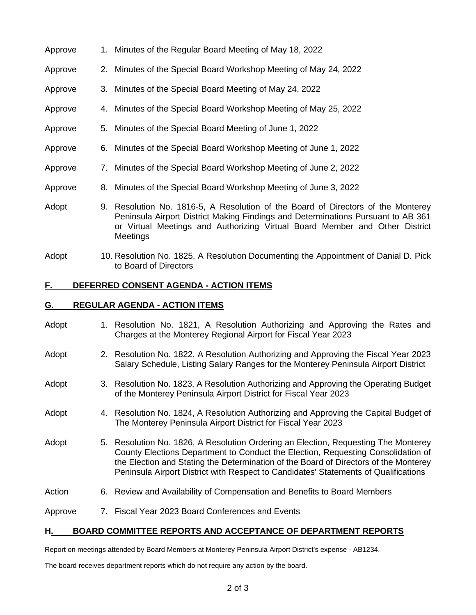| Approve | 1. Minutes of the Regular Board Meeting of May 18, 2022                                                                                                                                                                                                         |  |
|---------|-----------------------------------------------------------------------------------------------------------------------------------------------------------------------------------------------------------------------------------------------------------------|--|
| Approve | 2. Minutes of the Special Board Workshop Meeting of May 24, 2022                                                                                                                                                                                                |  |
| Approve | 3. Minutes of the Special Board Meeting of May 24, 2022                                                                                                                                                                                                         |  |
| Approve | 4. Minutes of the Special Board Workshop Meeting of May 25, 2022                                                                                                                                                                                                |  |
| Approve | 5. Minutes of the Special Board Meeting of June 1, 2022                                                                                                                                                                                                         |  |
| Approve | 6. Minutes of the Special Board Workshop Meeting of June 1, 2022                                                                                                                                                                                                |  |
| Approve | 7. Minutes of the Special Board Workshop Meeting of June 2, 2022                                                                                                                                                                                                |  |
| Approve | 8. Minutes of the Special Board Workshop Meeting of June 3, 2022                                                                                                                                                                                                |  |
| Adopt   | 9. Resolution No. 1816-5, A Resolution of the Board of Directors of the Monterey<br>Peninsula Airport District Making Findings and Determinations Pursuant to AB 361<br>or Virtual Meetings and Authorizing Virtual Board Member and Other District<br>Meetings |  |

Adopt 10. Resolution No. 1825, A Resolution Documenting the Appointment of Danial D. Pick to Board of Directors

# **F. DEFERRED CONSENT AGENDA - ACTION ITEMS**

## **G. REGULAR AGENDA - ACTION ITEMS**

Adopt 1. Resolution No. 1821, A Resolution Authorizing and Approving the Rates and Charges at the Monterey Regional Airport for Fiscal Year 2023 Adopt 2. Resolution No. 1822, A Resolution Authorizing and Approving the Fiscal Year 2023 Salary Schedule, Listing Salary Ranges for the Monterey Peninsula Airport District Adopt 3. Resolution No. 1823, A Resolution Authorizing and Approving the Operating Budget of the Monterey Peninsula Airport District for Fiscal Year 2023 Adopt 4. Resolution No. 1824, A Resolution Authorizing and Approving the Capital Budget of The Monterey Peninsula Airport District for Fiscal Year 2023 Adopt 5. Resolution No. 1826, A Resolution Ordering an Election, Requesting The Monterey County Elections Department to Conduct the Election, Requesting Consolidation of the Election and Stating the Determination of the Board of Directors of the Monterey Peninsula Airport District with Respect to Candidates' Statements of Qualifications Action 6. Review and Availability of Compensation and Benefits to Board Members Approve 7. Fiscal Year 2023 Board Conferences and Events

# **H. BOARD COMMITTEE REPORTS AND ACCEPTANCE OF DEPARTMENT REPORTS**

Report on meetings attended by Board Members at Monterey Peninsula Airport District's expense - AB1234.

The board receives department reports which do not require any action by the board.